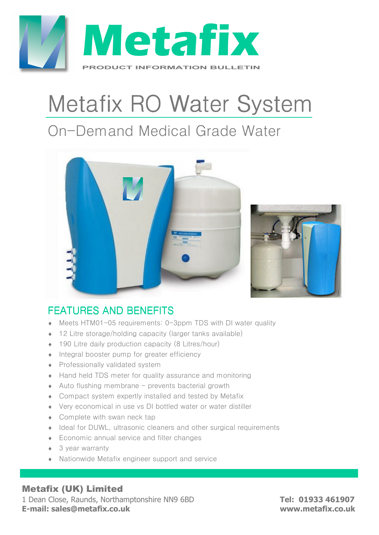

# Metafix RO Water System

## On-Demand Medical Grade Water





### FFATURES AND BENEFITS

- ♦ Meets HTM01-05 requirements: 0-3ppm TDS with DI water quality
- ♦ 12 Litre storage/holding capacity (larger tanks available)
- ♦ 190 Litre daily production capacity (8 Litres/hour)
- ♦ Integral booster pump for greater efficiency
- ♦ Professionally validated system
- ♦ Hand held TDS meter for quality assurance and monitoring
- $\triangle$  Auto flushing membrane prevents bacterial growth
- ♦ Compact system expertly installed and tested by Metafix
- ♦ Very economical in use vs DI bottled water or water distiller
- Complete with swan neck tap
- ♦ Ideal for DUWL, ultrasonic cleaners and other surgical requirements
- ♦ Economic annual service and filter changes
- $\bullet$  3 year warranty
- ♦ Nationwide Metafix engineer support and service

#### Metafix (UK) Limited

1 Dean Close, Raunds, Northamptonshire NN9 6BD **Tel: 01933 461907 E-mail: sales@metafix.co.uk www.metafix.co.uk**